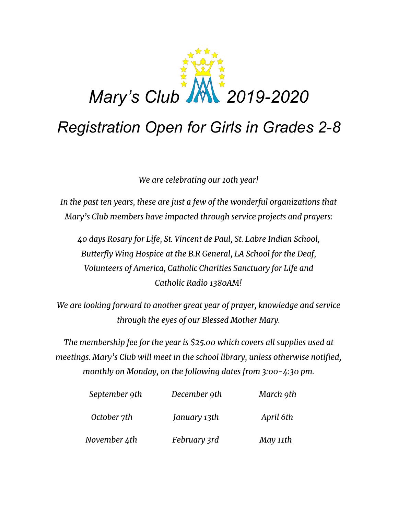

## *Registration Open for Girls in Grades 2-8*

*We are celebrating our 10th year!*

*In the past ten years, these are just a few of the wonderful organizations that Mary's Club members have impacted through service projects and prayers:*

*40 days Rosary for Life, St. Vincent de Paul, St. Labre Indian School, Butterfly Wing Hospice at the B.R General, LA School for the Deaf, Volunteers of America, Catholic Charities Sanctuary for Life and Catholic Radio 1380AM!*

*We are looking forward to another great year of prayer, knowledge and service through the eyes of our Blessed Mother Mary.*

*The membership fee for the year is \$25.00 which covers all supplies used at meetings. Mary's Club will meet in the school library, unless otherwise notified, monthly on Monday, on the following dates from 3:00-4:30 pm.*

| September 9th<br>October 7th | December 9th<br>January 13th | March 9th<br>April 6th |
|------------------------------|------------------------------|------------------------|
|                              |                              |                        |